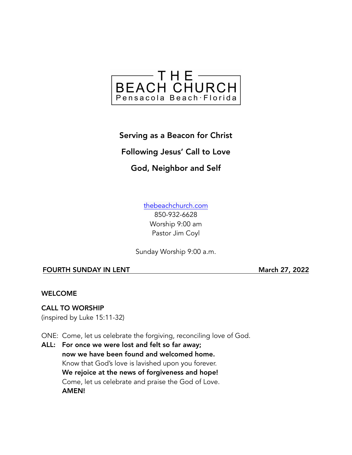

Serving as a Beacon for Christ Following Jesus' Call to Love God, Neighbor and Self

> [thebeachchurch.com](http://thebeachchurch.com) 850-932-6628

Worship 9:00 am Pastor Jim Coyl

Sunday Worship 9:00 a.m.

# FOURTH SUNDAY IN LENT March 27, 2022

# WELCOME

# CALL TO WORSHIP

(inspired by Luke 15:11-32)

ONE: Come, let us celebrate the forgiving, reconciling love of God.

ALL: For once we were lost and felt so far away; now we have been found and welcomed home. Know that God's love is lavished upon you forever. We rejoice at the news of forgiveness and hope! Come, let us celebrate and praise the God of Love. AMEN!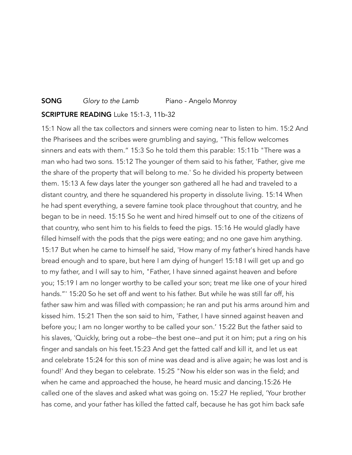# **SONG** Glory to the Lamb Piano - Angelo Monroy

#### SCRIPTURE READING Luke 15:1-3, 11b-32

15:1 Now all the tax collectors and sinners were coming near to listen to him. 15:2 And the Pharisees and the scribes were grumbling and saying, "This fellow welcomes sinners and eats with them." 15:3 So he told them this parable: 15:11b "There was a man who had two sons. 15:12 The younger of them said to his father, 'Father, give me the share of the property that will belong to me.' So he divided his property between them. 15:13 A few days later the younger son gathered all he had and traveled to a distant country, and there he squandered his property in dissolute living. 15:14 When he had spent everything, a severe famine took place throughout that country, and he began to be in need. 15:15 So he went and hired himself out to one of the citizens of that country, who sent him to his fields to feed the pigs. 15:16 He would gladly have filled himself with the pods that the pigs were eating; and no one gave him anything. 15:17 But when he came to himself he said, 'How many of my father's hired hands have bread enough and to spare, but here I am dying of hunger! 15:18 I will get up and go to my father, and I will say to him, "Father, I have sinned against heaven and before you; 15:19 I am no longer worthy to be called your son; treat me like one of your hired hands."' 15:20 So he set off and went to his father. But while he was still far off, his father saw him and was filled with compassion; he ran and put his arms around him and kissed him. 15:21 Then the son said to him, 'Father, I have sinned against heaven and before you; I am no longer worthy to be called your son.' 15:22 But the father said to his slaves, 'Quickly, bring out a robe--the best one--and put it on him; put a ring on his finger and sandals on his feet.15:23 And get the fatted calf and kill it, and let us eat and celebrate 15:24 for this son of mine was dead and is alive again; he was lost and is found!' And they began to celebrate. 15:25 "Now his elder son was in the field; and when he came and approached the house, he heard music and dancing.15:26 He called one of the slaves and asked what was going on. 15:27 He replied, 'Your brother has come, and your father has killed the fatted calf, because he has got him back safe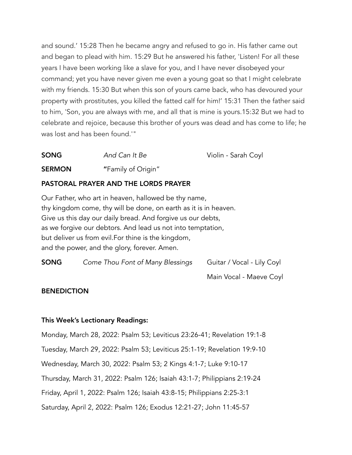and sound.' 15:28 Then he became angry and refused to go in. His father came out and began to plead with him. 15:29 But he answered his father, 'Listen! For all these years I have been working like a slave for you, and I have never disobeyed your command; yet you have never given me even a young goat so that I might celebrate with my friends. 15:30 But when this son of yours came back, who has devoured your property with prostitutes, you killed the fatted calf for him!' 15:31 Then the father said to him, 'Son, you are always with me, and all that is mine is yours.15:32 But we had to celebrate and rejoice, because this brother of yours was dead and has come to life; he was lost and has been found.'"

| <b>SONG</b>   | And Can It Be      | Violin - Sarah Coyl |
|---------------|--------------------|---------------------|
| <b>SERMON</b> | "Family of Origin" |                     |

# PASTORAL PRAYER AND THE LORDS PRAYER

Our Father, who art in heaven, hallowed be thy name, thy kingdom come, thy will be done, on earth as it is in heaven. Give us this day our daily bread. And forgive us our debts, as we forgive our debtors. And lead us not into temptation, but deliver us from evil.For thine is the kingdom, and the power, and the glory, forever. Amen.

| <b>SONG</b> | Come Thou Font of Many Blessings | Guitar / Vocal - Lily Coyl |
|-------------|----------------------------------|----------------------------|
|             |                                  | Main Vocal - Maeve Coyl    |

# **BENEDICTION**

# This Week's Lectionary Readings:

Monday, March 28, 2022: Psalm 53; Leviticus 23:26-41; Revelation 19:1-8 Tuesday, March 29, 2022: Psalm 53; Leviticus 25:1-19; Revelation 19:9-10 Wednesday, March 30, 2022: Psalm 53; 2 Kings 4:1-7; Luke 9:10-17 Thursday, March 31, 2022: Psalm 126; Isaiah 43:1-7; Philippians 2:19-24 Friday, April 1, 2022: Psalm 126; Isaiah 43:8-15; Philippians 2:25-3:1 Saturday, April 2, 2022: Psalm 126; Exodus 12:21-27; John 11:45-57